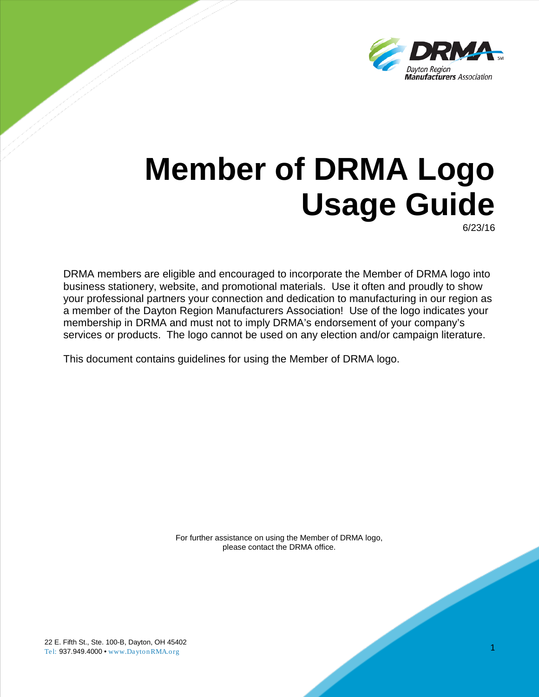

# **Member of DRMA Logo Usage Guide**

6/23/16

1

DRMA members are eligible and encouraged to incorporate the Member of DRMA logo into business stationery, website, and promotional materials. Use it often and proudly to show your professional partners your connection and dedication to manufacturing in our region as a member of the Dayton Region Manufacturers Association! Use of the logo indicates your membership in DRMA and must not to imply DRMA's endorsement of your company's services or products. The logo cannot be used on any election and/or campaign literature.

This document contains guidelines for using the Member of DRMA logo.

For further assistance on using the Member of DRMA logo, please contact the DRMA office.

22 E. Fifth St., Ste. 100-B, Dayton, OH 45402 Tel: 937.949.4000 • www.DaytonRMA.org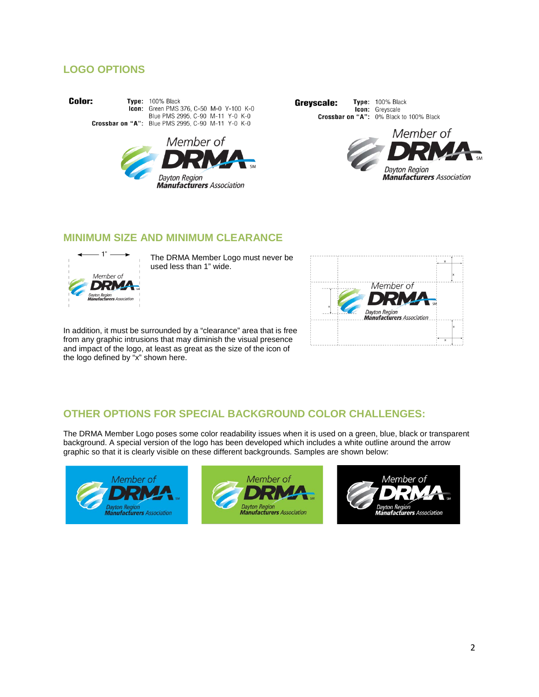## **LOGO OPTIONS**

Color:

Type: 100% Black **Icon:** Green PMS 376, C-50 M-0 Y-100 K-0 Blue PMS 2995, C-90 M-11 Y-0 K-0 Crossbar on "A": Blue PMS 2995, C-90 M-11 Y-0 K-0







#### **MINIMUM SIZE AND MINIMUM CLEARANCE**



The DRMA Member Logo must never be used less than 1" wide.

In addition, it must be surrounded by a "clearance" area that is free from any graphic intrusions that may diminish the visual presence and impact of the logo, at least as great as the size of the icon of the logo defined by "x" shown here.



## **OTHER OPTIONS FOR SPECIAL BACKGROUND COLOR CHALLENGES:**

The DRMA Member Logo poses some color readability issues when it is used on a green, blue, black or transparent background. A special version of the logo has been developed which includes a white outline around the arrow graphic so that it is clearly visible on these different backgrounds. Samples are shown below: